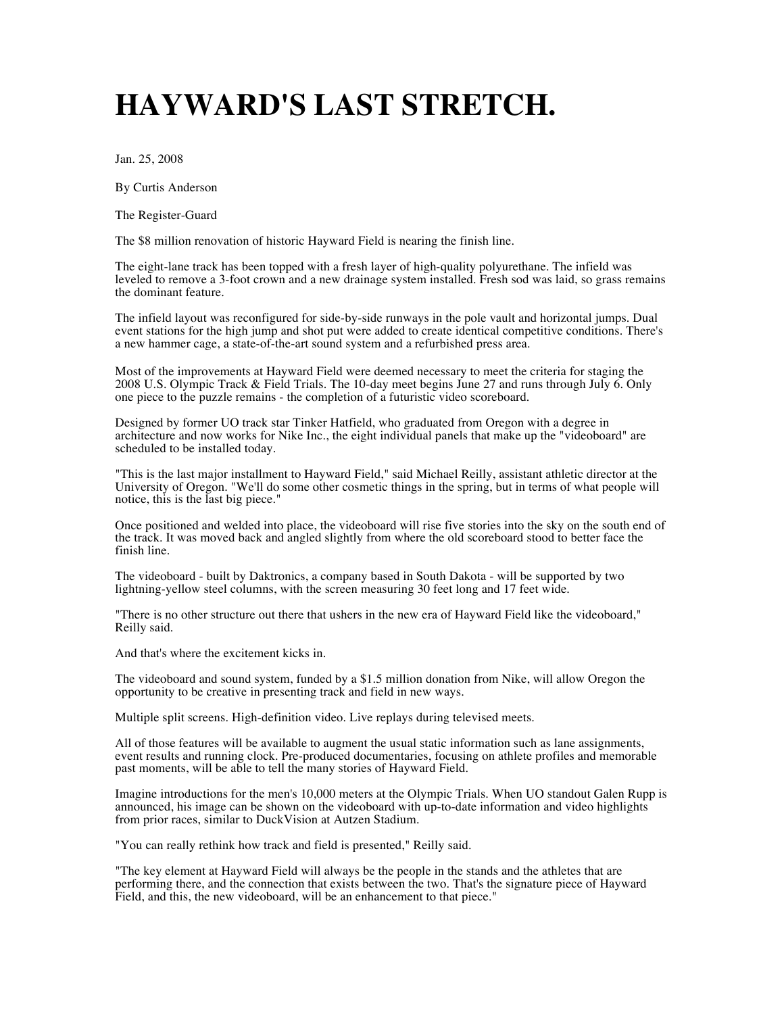## **HAYWARD'S LAST STRETCH.**

Jan. 25, 2008

By Curtis Anderson

The Register-Guard

The \$8 million renovation of historic Hayward Field is nearing the finish line.

The eight-lane track has been topped with a fresh layer of high-quality polyurethane. The infield was leveled to remove a 3-foot crown and a new drainage system installed. Fresh sod was laid, so grass remains the dominant feature.

The infield layout was reconfigured for side-by-side runways in the pole vault and horizontal jumps. Dual event stations for the high jump and shot put were added to create identical competitive conditions. There's a new hammer cage, a state-of-the-art sound system and a refurbished press area.

Most of the improvements at Hayward Field were deemed necessary to meet the criteria for staging the 2008 U.S. Olympic Track & Field Trials. The 10-day meet begins June 27 and runs through July 6. Only one piece to the puzzle remains - the completion of a futuristic video scoreboard.

Designed by former UO track star Tinker Hatfield, who graduated from Oregon with a degree in architecture and now works for Nike Inc., the eight individual panels that make up the "videoboard" are scheduled to be installed today.

"This is the last major installment to Hayward Field," said Michael Reilly, assistant athletic director at the University of Oregon. "We'll do some other cosmetic things in the spring, but in terms of what people will notice, this is the last big piece."

Once positioned and welded into place, the videoboard will rise five stories into the sky on the south end of the track. It was moved back and angled slightly from where the old scoreboard stood to better face the finish line.

The videoboard - built by Daktronics, a company based in South Dakota - will be supported by two lightning-yellow steel columns, with the screen measuring 30 feet long and 17 feet wide.

"There is no other structure out there that ushers in the new era of Hayward Field like the videoboard," Reilly said.

And that's where the excitement kicks in.

The videoboard and sound system, funded by a \$1.5 million donation from Nike, will allow Oregon the opportunity to be creative in presenting track and field in new ways.

Multiple split screens. High-definition video. Live replays during televised meets.

All of those features will be available to augment the usual static information such as lane assignments, event results and running clock. Pre-produced documentaries, focusing on athlete profiles and memorable past moments, will be able to tell the many stories of Hayward Field.

Imagine introductions for the men's 10,000 meters at the Olympic Trials. When UO standout Galen Rupp is announced, his image can be shown on the videoboard with up-to-date information and video highlights from prior races, similar to DuckVision at Autzen Stadium.

"You can really rethink how track and field is presented," Reilly said.

"The key element at Hayward Field will always be the people in the stands and the athletes that are performing there, and the connection that exists between the two. That's the signature piece of Hayward Field, and this, the new videoboard, will be an enhancement to that piece."